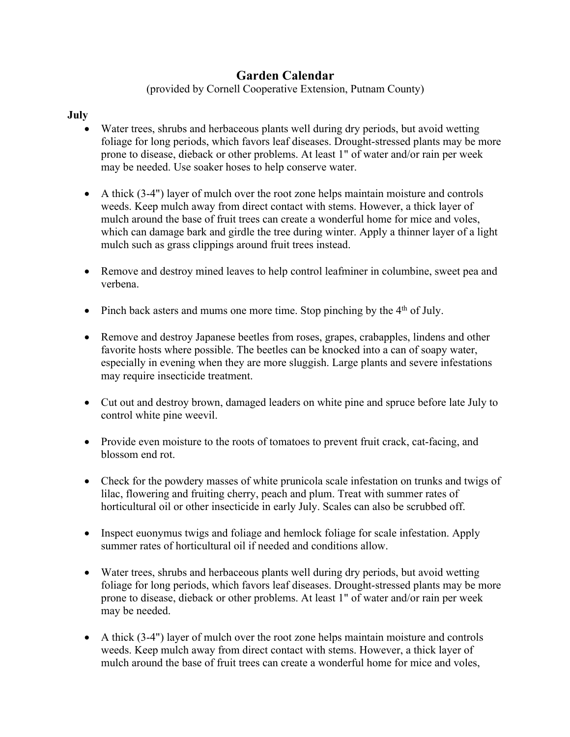## **Garden Calendar**

(provided by Cornell Cooperative Extension, Putnam County)

## **July**

- Water trees, shrubs and herbaceous plants well during dry periods, but avoid wetting foliage for long periods, which favors leaf diseases. Drought-stressed plants may be more prone to disease, dieback or other problems. At least 1" of water and/or rain per week may be needed. Use soaker hoses to help conserve water.
- A thick (3-4") layer of mulch over the root zone helps maintain moisture and controls weeds. Keep mulch away from direct contact with stems. However, a thick layer of mulch around the base of fruit trees can create a wonderful home for mice and voles, which can damage bark and girdle the tree during winter. Apply a thinner layer of a light mulch such as grass clippings around fruit trees instead.
- Remove and destroy mined leaves to help control leafminer in columbine, sweet pea and verbena.
- Pinch back asters and mums one more time. Stop pinching by the  $4<sup>th</sup>$  of July.
- Remove and destroy Japanese beetles from roses, grapes, crabapples, lindens and other favorite hosts where possible. The beetles can be knocked into a can of soapy water, especially in evening when they are more sluggish. Large plants and severe infestations may require insecticide treatment.
- Cut out and destroy brown, damaged leaders on white pine and spruce before late July to control white pine weevil.
- Provide even moisture to the roots of tomatoes to prevent fruit crack, cat-facing, and blossom end rot.
- Check for the powdery masses of white prunicola scale infestation on trunks and twigs of lilac, flowering and fruiting cherry, peach and plum. Treat with summer rates of horticultural oil or other insecticide in early July. Scales can also be scrubbed off.
- Inspect euonymus twigs and foliage and hemlock foliage for scale infestation. Apply summer rates of horticultural oil if needed and conditions allow.
- Water trees, shrubs and herbaceous plants well during dry periods, but avoid wetting foliage for long periods, which favors leaf diseases. Drought-stressed plants may be more prone to disease, dieback or other problems. At least 1" of water and/or rain per week may be needed.
- A thick (3-4") layer of mulch over the root zone helps maintain moisture and controls weeds. Keep mulch away from direct contact with stems. However, a thick layer of mulch around the base of fruit trees can create a wonderful home for mice and voles,